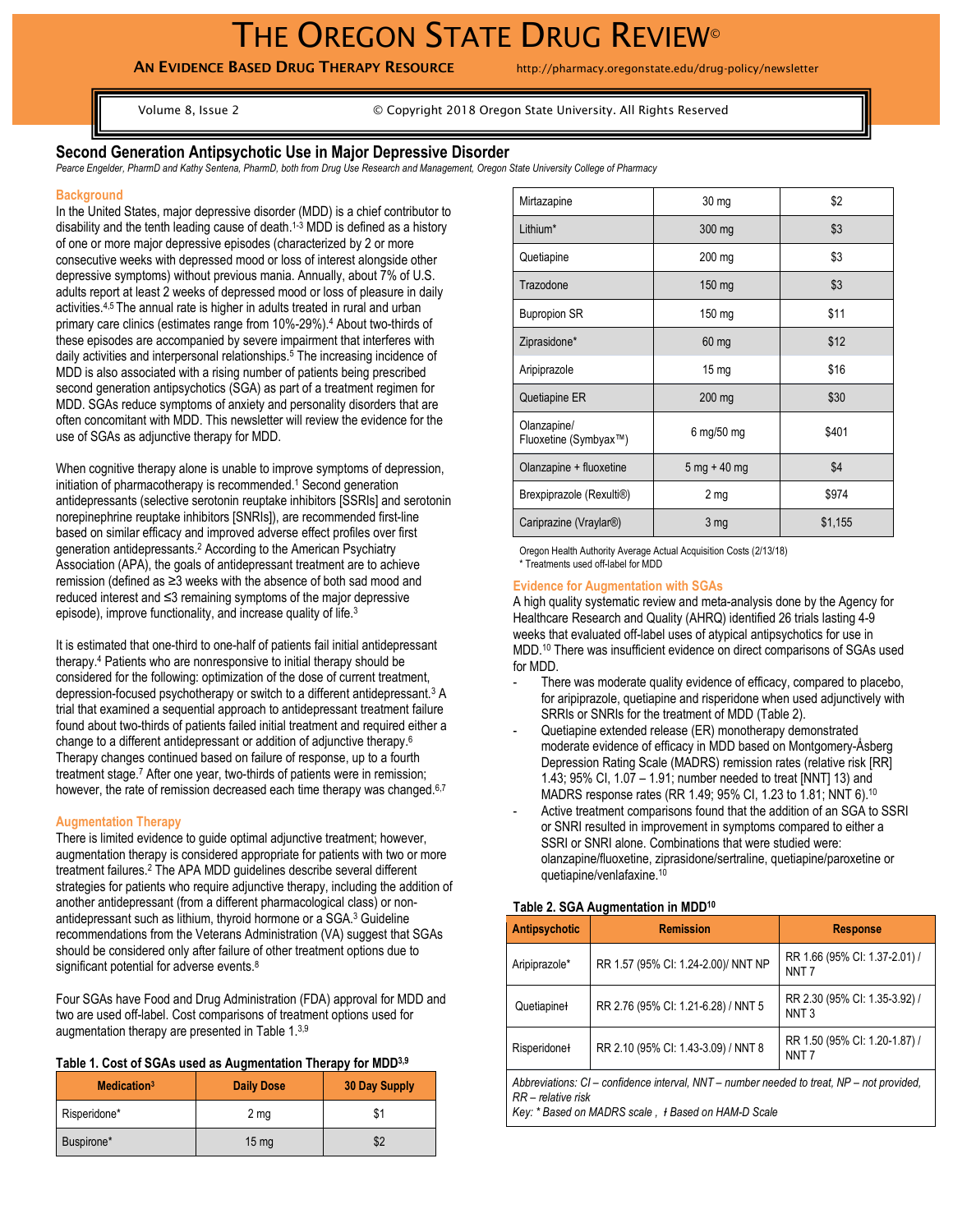# THE OREGON STATE DRUG REVIEW®

# **AN EVIDENCE BASED DRUG THERAPY RESOURCE** http://pharmacy.oregonstate.edu/drug-policy/newsletter

Volume 8, Issue 2 © Copyright 2018 Oregon State University. All Rights Reserved

## **Second Generation Antipsychotic Use in Major Depressive Disorder**

*Pearce Engelder, PharmD and Kathy Sentena, PharmD, both from Drug Use Research and Management, Oregon State University College of Pharmacy*

#### **Background**

In the United States, major depressive disorder (MDD) is a chief contributor to disability and the tenth leading cause of death.1-3 MDD is defined as a history of one or more major depressive episodes (characterized by 2 or more consecutive weeks with depressed mood or loss of interest alongside other depressive symptoms) without previous mania. Annually, about 7% of U.S. adults report at least 2 weeks of depressed mood or loss of pleasure in daily activities.4,5 The annual rate is higher in adults treated in rural and urban primary care clinics (estimates range from 10%-29%).<sup>4</sup> About two-thirds of these episodes are accompanied by severe impairment that interferes with daily activities and interpersonal relationships.<sup>5</sup> The increasing incidence of MDD is also associated with a rising number of patients being prescribed second generation antipsychotics (SGA) as part of a treatment regimen for MDD. SGAs reduce symptoms of anxiety and personality disorders that are often concomitant with MDD. This newsletter will review the evidence for the use of SGAs as adjunctive therapy for MDD.

When cognitive therapy alone is unable to improve symptoms of depression, initiation of pharmacotherapy is recommended.<sup>1</sup> Second generation antidepressants (selective serotonin reuptake inhibitors [SSRIs] and serotonin norepinephrine reuptake inhibitors [SNRIs]), are recommended first-line based on similar efficacy and improved adverse effect profiles over first generation antidepressants.<sup>2</sup> According to the American Psychiatry Association (APA), the goals of antidepressant treatment are to achieve remission (defined as ≥3 weeks with the absence of both sad mood and reduced interest and ≤3 remaining symptoms of the major depressive episode), improve functionality, and increase quality of life.<sup>3</sup>

It is estimated that one-third to one-half of patients fail initial antidepressant therapy.<sup>4</sup> Patients who are nonresponsive to initial therapy should be considered for the following: optimization of the dose of current treatment, depression-focused psychotherapy or switch to a different antidepressant.<sup>3</sup> A trial that examined a sequential approach to antidepressant treatment failure found about two-thirds of patients failed initial treatment and required either a change to a different antidepressant or addition of adjunctive therapy.<sup>6</sup> Therapy changes continued based on failure of response, up to a fourth treatment stage.<sup>7</sup> After one year, two-thirds of patients were in remission; however, the rate of remission decreased each time therapy was changed.<sup>6,7</sup>

## **Augmentation Therapy**

There is limited evidence to guide optimal adjunctive treatment; however, augmentation therapy is considered appropriate for patients with two or more treatment failures.<sup>2</sup> The APA MDD guidelines describe several different strategies for patients who require adjunctive therapy, including the addition of another antidepressant (from a different pharmacological class) or nonantidepressant such as lithium, thyroid hormone or a SGA.<sup>3</sup> Guideline recommendations from the Veterans Administration (VA) suggest that SGAs should be considered only after failure of other treatment options due to significant potential for adverse events.<sup>8</sup>

Four SGAs have Food and Drug Administration (FDA) approval for MDD and two are used off-label. Cost comparisons of treatment options used for augmentation therapy are presented in Table 1.3,9

#### **Table 1. Cost of SGAs used as Augmentation Therapy for MDD3,9**

| Medication <sup>3</sup> | <b>Daily Dose</b> | 30 Day Supply |
|-------------------------|-------------------|---------------|
| Risperidone*            | 2 <sub>mg</sub>   | \$1           |
| Buspirone*              | $15 \text{ mg}$   | \$2           |

| Mirtazapine                          | $30 \text{ mg}$  | \$2     |
|--------------------------------------|------------------|---------|
| Lithium*                             | 300 mg           | \$3     |
| Quetiapine                           | 200 mg           | \$3     |
| Trazodone                            | $150$ mg         | \$3     |
| <b>Bupropion SR</b>                  | $150 \text{ mg}$ | \$11    |
| Ziprasidone*                         | $60$ mg          | \$12    |
| Aripiprazole                         | $15 \text{ mg}$  | \$16    |
| Quetiapine ER                        | $200$ mg         | \$30    |
| Olanzapine/<br>Fluoxetine (Symbyax™) | 6 mg/50 mg       | \$401   |
| Olanzapine + fluoxetine              | $5$ mg + 40 mg   | \$4     |
| Brexpiprazole (Rexulti®)             | 2 <sub>mg</sub>  | \$974   |
| Cariprazine (Vraylar <sup>®</sup> )  | 3 <sub>mg</sub>  | \$1,155 |

Oregon Health Authority Average Actual Acquisition Costs (2/13/18) \* Treatments used off-label for MDD

#### **Evidence for Augmentation with SGAs**

A high quality systematic review and meta-analysis done by the Agency for Healthcare Research and Quality (AHRQ) identified 26 trials lasting 4-9 weeks that evaluated off-label uses of atypical antipsychotics for use in MDD.<sup>10</sup> There was insufficient evidence on direct comparisons of SGAs used for MDD.

- There was moderate quality evidence of efficacy, compared to placebo, for aripiprazole, quetiapine and risperidone when used adjunctively with SRRIs or SNRIs for the treatment of MDD (Table 2).
- Quetiapine extended release (ER) monotherapy demonstrated moderate evidence of efficacy in MDD based on Montgomery-Åsberg Depression Rating Scale (MADRS) remission rates (relative risk [RR] 1.43; 95% CI, 1.07 – 1.91; number needed to treat [NNT] 13) and MADRS response rates (RR 1.49; 95% CI, 1.23 to 1.81; NNT 6).<sup>10</sup>
- Active treatment comparisons found that the addition of an SGA to SSRI or SNRI resulted in improvement in symptoms compared to either a SSRI or SNRI alone. Combinations that were studied were: olanzapine/fluoxetine, ziprasidone/sertraline, quetiapine/paroxetine or quetiapine/venlafaxine.<sup>10</sup>

#### **Table 2. SGA Augmentation in MDD<sup>10</sup>**

| <b>Antipsychotic</b>                                                                                                                                                   | <b>Remission</b>                    | <b>Response</b>                                   |
|------------------------------------------------------------------------------------------------------------------------------------------------------------------------|-------------------------------------|---------------------------------------------------|
| Aripiprazole*                                                                                                                                                          | RR 1.57 (95% CI: 1.24-2.00)/ NNT NP | RR 1.66 (95% CI: 1.37-2.01) /<br>NNT <sub>7</sub> |
| Quetiapine+                                                                                                                                                            | RR 2.76 (95% CI: 1.21-6.28) / NNT 5 | RR 2.30 (95% CI: 1.35-3.92) /<br>NNT <sub>3</sub> |
| Risperidonet                                                                                                                                                           | RR 2.10 (95% CI: 1.43-3.09) / NNT 8 | RR 1.50 (95% CI: 1.20-1.87) /<br>NNT <sub>7</sub> |
| Abbreviations: CI – confidence interval. NNT – number needed to treat. NP – not provided.<br>RR – relative risk<br>Key: * Based on MADRS scale, # Based on HAM-D Scale |                                     |                                                   |